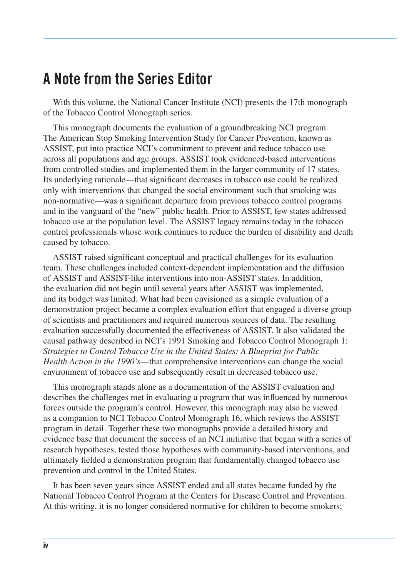## **A Note from the Series Editor**

With this volume, the National Cancer Institute (NCI) presents the 17th monograph of the Tobacco Control Monograph series.

This monograph documents the evaluation of a groundbreaking NCI program. The American Stop Smoking Intervention Study for Cancer Prevention, known as ASSIST, put into practice NCI's commitment to prevent and reduce tobacco use across all populations and age groups. ASSIST took evidenced-based interventions from controlled studies and implemented them in the larger community of 17 states. Its underlying rationale—that significant decreases in tobacco use could be realized only with interventions that changed the social environment such that smoking was non-normative—was a significant departure from previous tobacco control programs and in the vanguard of the "new" public health. Prior to ASSIST, few states addressed tobacco use at the population level. The ASSIST legacy remains today in the tobacco control professionals whose work continues to reduce the burden of disability and death caused by tobacco.

ASSIST raised significant conceptual and practical challenges for its evaluation team. These challenges included context-dependent implementation and the diffusion of ASSIST and ASSIST-like interventions into non-ASSIST states. In addition, the evaluation did not begin until several years after ASSIST was implemented, and its budget was limited. What had been envisioned as a simple evaluation of a demonstration project became a complex evaluation effort that engaged a diverse group of scientists and practitioners and required numerous sources of data. The resulting evaluation successfully documented the effectiveness of ASSIST. It also validated the causal pathway described in NCI's 1991 Smoking and Tobacco Control Monograph 1: *Strategies to Control Tobacco Use in the United States: A Blueprint for Public Health Action in the 1990's*—that comprehensive interventions can change the social environment of tobacco use and subsequently result in decreased tobacco use.

This monograph stands alone as a documentation of the ASSIST evaluation and describes the challenges met in evaluating a program that was influenced by numerous forces outside the program's control. However, this monograph may also be viewed as a companion to NCI Tobacco Control Monograph 16, which reviews the ASSIST program in detail. Together these two monographs provide a detailed history and evidence base that document the success of an NCI initiative that began with a series of research hypotheses, tested those hypotheses with community-based interventions, and ultimately fielded a demonstration program that fundamentally changed tobacco use prevention and control in the United States.

It has been seven years since ASSIST ended and all states became funded by the National Tobacco Control Program at the Centers for Disease Control and Prevention. At this writing, it is no longer considered normative for children to become smokers;